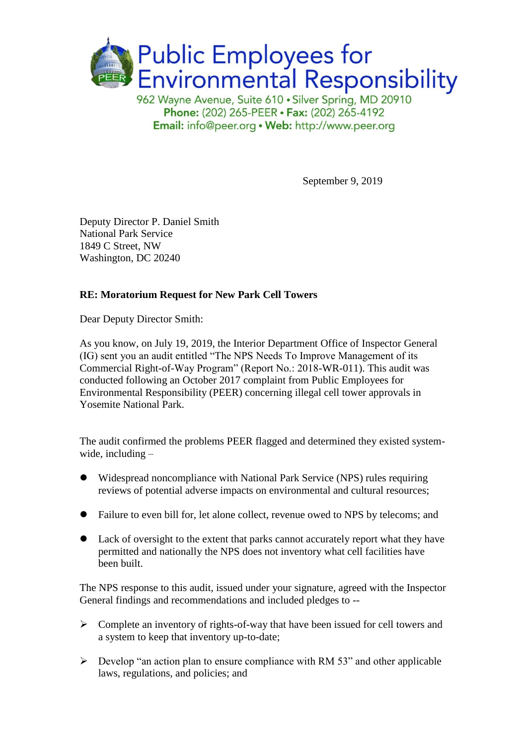

962 Wayne Avenue, Suite 610 · Silver Spring, MD 20910 Phone: (202) 265-PEER · Fax: (202) 265-4192 Email: info@peer.org . Web: http://www.peer.org

September 9, 2019

Deputy Director P. Daniel Smith National Park Service 1849 C Street, NW Washington, DC 20240

### **RE: Moratorium Request for New Park Cell Towers**

Dear Deputy Director Smith:

As you know, on July 19, 2019, the Interior Department Office of Inspector General (IG) sent you an audit entitled "The NPS Needs To Improve Management of its Commercial Right-of-Way Program" (Report No.: 2018-WR-011). This audit was conducted following an October 2017 complaint from Public Employees for Environmental Responsibility (PEER) concerning illegal cell tower approvals in Yosemite National Park.

The audit confirmed the problems PEER flagged and determined they existed systemwide, including –

- ⚫ Widespread noncompliance with National Park Service (NPS) rules requiring reviews of potential adverse impacts on environmental and cultural resources;
- ⚫ Failure to even bill for, let alone collect, revenue owed to NPS by telecoms; and
- Lack of oversight to the extent that parks cannot accurately report what they have permitted and nationally the NPS does not inventory what cell facilities have been built.

The NPS response to this audit, issued under your signature, agreed with the Inspector General findings and recommendations and included pledges to --

- ➢ Complete an inventory of rights-of-way that have been issued for cell towers and a system to keep that inventory up-to-date;
- $\triangleright$  Develop "an action plan to ensure compliance with RM 53" and other applicable laws, regulations, and policies; and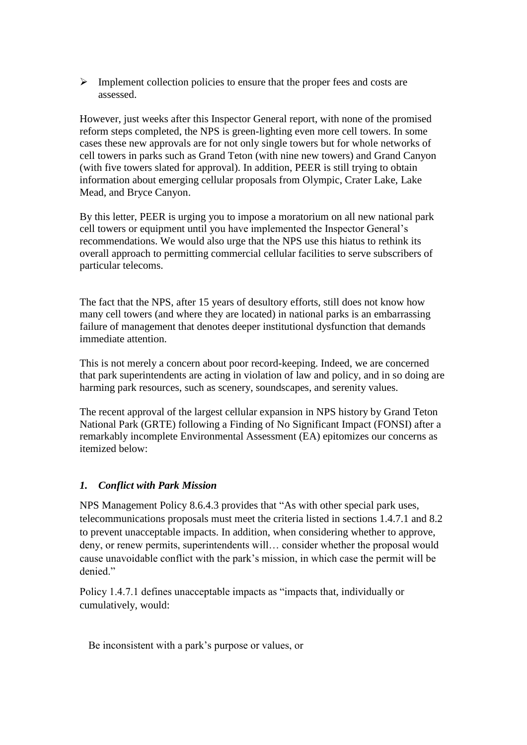➢ Implement collection policies to ensure that the proper fees and costs are assessed.

However, just weeks after this Inspector General report, with none of the promised reform steps completed, the NPS is green-lighting even more cell towers. In some cases these new approvals are for not only single towers but for whole networks of cell towers in parks such as Grand Teton (with nine new towers) and Grand Canyon (with five towers slated for approval). In addition, PEER is still trying to obtain information about emerging cellular proposals from Olympic, Crater Lake, Lake Mead, and Bryce Canyon.

By this letter, PEER is urging you to impose a moratorium on all new national park cell towers or equipment until you have implemented the Inspector General's recommendations. We would also urge that the NPS use this hiatus to rethink its overall approach to permitting commercial cellular facilities to serve subscribers of particular telecoms.

The fact that the NPS, after 15 years of desultory efforts, still does not know how many cell towers (and where they are located) in national parks is an embarrassing failure of management that denotes deeper institutional dysfunction that demands immediate attention.

This is not merely a concern about poor record-keeping. Indeed, we are concerned that park superintendents are acting in violation of law and policy, and in so doing are harming park resources, such as scenery, soundscapes, and serenity values.

The recent approval of the largest cellular expansion in NPS history by Grand Teton National Park (GRTE) following a Finding of No Significant Impact (FONSI) after a remarkably incomplete Environmental Assessment (EA) epitomizes our concerns as itemized below:

#### *1. Conflict with Park Mission*

NPS Management Policy 8.6.4.3 provides that "As with other special park uses, telecommunications proposals must meet the criteria listed in sections 1.4.7.1 and 8.2 to prevent unacceptable impacts. In addition, when considering whether to approve, deny, or renew permits, superintendents will… consider whether the proposal would cause unavoidable conflict with the park's mission, in which case the permit will be denied."

Policy 1.4.7.1 defines unacceptable impacts as "impacts that, individually or cumulatively, would:

Be inconsistent with a park's purpose or values, or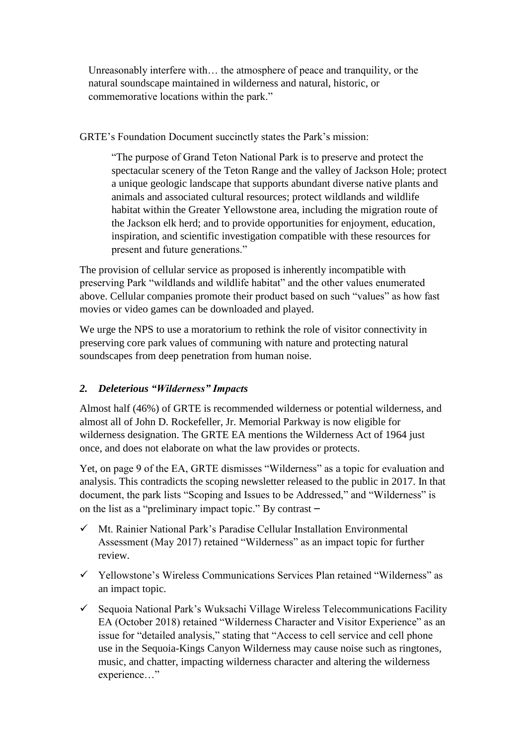Unreasonably interfere with… the atmosphere of peace and tranquility, or the natural soundscape maintained in wilderness and natural, historic, or commemorative locations within the park."

GRTE's Foundation Document succinctly states the Park's mission:

"The purpose of Grand Teton National Park is to preserve and protect the spectacular scenery of the Teton Range and the valley of Jackson Hole; protect a unique geologic landscape that supports abundant diverse native plants and animals and associated cultural resources; protect wildlands and wildlife habitat within the Greater Yellowstone area, including the migration route of the Jackson elk herd; and to provide opportunities for enjoyment, education, inspiration, and scientific investigation compatible with these resources for present and future generations."

The provision of cellular service as proposed is inherently incompatible with preserving Park "wildlands and wildlife habitat" and the other values enumerated above. Cellular companies promote their product based on such "values" as how fast movies or video games can be downloaded and played.

We urge the NPS to use a moratorium to rethink the role of visitor connectivity in preserving core park values of communing with nature and protecting natural soundscapes from deep penetration from human noise.

# *2. Deleterious "Wilderness" Impacts*

Almost half (46%) of GRTE is recommended wilderness or potential wilderness, and almost all of John D. Rockefeller, Jr. Memorial Parkway is now eligible for wilderness designation. The GRTE EA mentions the Wilderness Act of 1964 just once, and does not elaborate on what the law provides or protects.

Yet, on page 9 of the EA, GRTE dismisses "Wilderness" as a topic for evaluation and analysis. This contradicts the scoping newsletter released to the public in 2017. In that document, the park lists "Scoping and Issues to be Addressed," and "Wilderness" is on the list as a "preliminary impact topic." By contrast –

- ✓ Mt. Rainier National Park's Paradise Cellular Installation Environmental Assessment (May 2017) retained "Wilderness" as an impact topic for further review.
- ✓ Yellowstone's Wireless Communications Services Plan retained "Wilderness" as an impact topic.
- $\checkmark$  Sequoia National Park's Wuksachi Village Wireless Telecommunications Facility EA (October 2018) retained "Wilderness Character and Visitor Experience" as an issue for "detailed analysis," stating that "Access to cell service and cell phone use in the Sequoia-Kings Canyon Wilderness may cause noise such as ringtones, music, and chatter, impacting wilderness character and altering the wilderness experience…"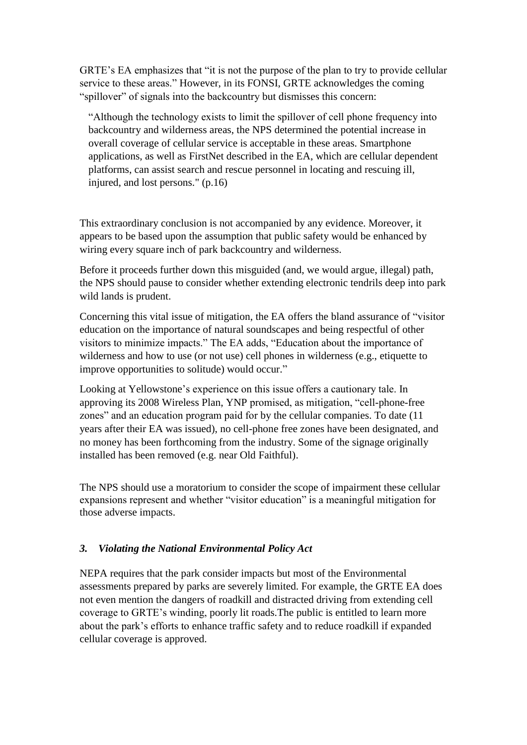GRTE's EA emphasizes that "it is not the purpose of the plan to try to provide cellular service to these areas." However, in its FONSI, GRTE acknowledges the coming "spillover" of signals into the backcountry but dismisses this concern:

"Although the technology exists to limit the spillover of cell phone frequency into backcountry and wilderness areas, the NPS determined the potential increase in overall coverage of cellular service is acceptable in these areas. Smartphone applications, as well as FirstNet described in the EA, which are cellular dependent platforms, can assist search and rescue personnel in locating and rescuing ill, injured, and lost persons." (p.16)

This extraordinary conclusion is not accompanied by any evidence. Moreover, it appears to be based upon the assumption that public safety would be enhanced by wiring every square inch of park backcountry and wilderness.

Before it proceeds further down this misguided (and, we would argue, illegal) path, the NPS should pause to consider whether extending electronic tendrils deep into park wild lands is prudent.

Concerning this vital issue of mitigation, the EA offers the bland assurance of "visitor education on the importance of natural soundscapes and being respectful of other visitors to minimize impacts." The EA adds, "Education about the importance of wilderness and how to use (or not use) cell phones in wilderness (e.g., etiquette to improve opportunities to solitude) would occur."

Looking at Yellowstone's experience on this issue offers a cautionary tale. In approving its 2008 Wireless Plan, YNP promised, as mitigation, "cell-phone-free zones" and an education program paid for by the cellular companies. To date (11 years after their EA was issued), no cell-phone free zones have been designated, and no money has been forthcoming from the industry. Some of the signage originally installed has been removed (e.g. near Old Faithful).

The NPS should use a moratorium to consider the scope of impairment these cellular expansions represent and whether "visitor education" is a meaningful mitigation for those adverse impacts.

#### *3. Violating the National Environmental Policy Act*

NEPA requires that the park consider impacts but most of the Environmental assessments prepared by parks are severely limited. For example, the GRTE EA does not even mention the dangers of roadkill and distracted driving from extending cell coverage to GRTE's winding, poorly lit roads.The public is entitled to learn more about the park's efforts to enhance traffic safety and to reduce roadkill if expanded cellular coverage is approved.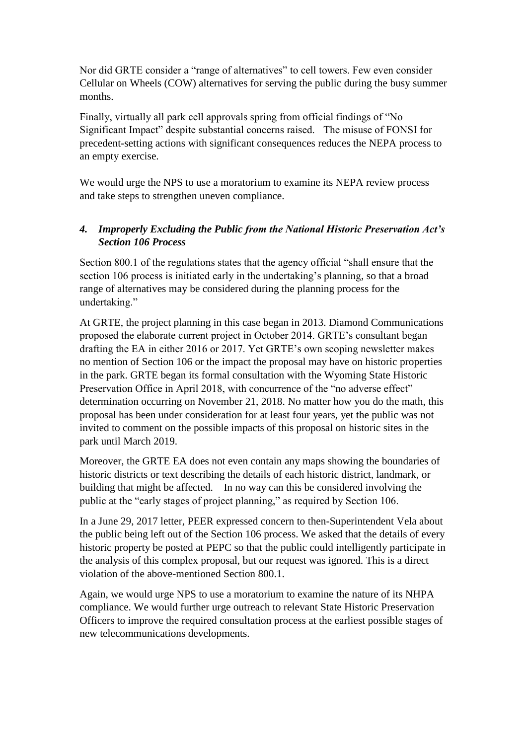Nor did GRTE consider a "range of alternatives" to cell towers. Few even consider Cellular on Wheels (COW) alternatives for serving the public during the busy summer months.

Finally, virtually all park cell approvals spring from official findings of "No Significant Impact" despite substantial concerns raised. The misuse of FONSI for precedent-setting actions with significant consequences reduces the NEPA process to an empty exercise.

We would urge the NPS to use a moratorium to examine its NEPA review process and take steps to strengthen uneven compliance.

# *4. Improperly Excluding the Public from the National Historic Preservation Act's Section 106 Process*

Section 800.1 of the regulations states that the agency official "shall ensure that the section 106 process is initiated early in the undertaking's planning, so that a broad range of alternatives may be considered during the planning process for the undertaking."

At GRTE, the project planning in this case began in 2013. Diamond Communications proposed the elaborate current project in October 2014. GRTE's consultant began drafting the EA in either 2016 or 2017. Yet GRTE's own scoping newsletter makes no mention of Section 106 or the impact the proposal may have on historic properties in the park. GRTE began its formal consultation with the Wyoming State Historic Preservation Office in April 2018, with concurrence of the "no adverse effect" determination occurring on November 21, 2018. No matter how you do the math, this proposal has been under consideration for at least four years, yet the public was not invited to comment on the possible impacts of this proposal on historic sites in the park until March 2019.

Moreover, the GRTE EA does not even contain any maps showing the boundaries of historic districts or text describing the details of each historic district, landmark, or building that might be affected. In no way can this be considered involving the public at the "early stages of project planning," as required by Section 106.

In a June 29, 2017 letter, PEER expressed concern to then-Superintendent Vela about the public being left out of the Section 106 process. We asked that the details of every historic property be posted at PEPC so that the public could intelligently participate in the analysis of this complex proposal, but our request was ignored. This is a direct violation of the above-mentioned Section 800.1.

Again, we would urge NPS to use a moratorium to examine the nature of its NHPA compliance. We would further urge outreach to relevant State Historic Preservation Officers to improve the required consultation process at the earliest possible stages of new telecommunications developments.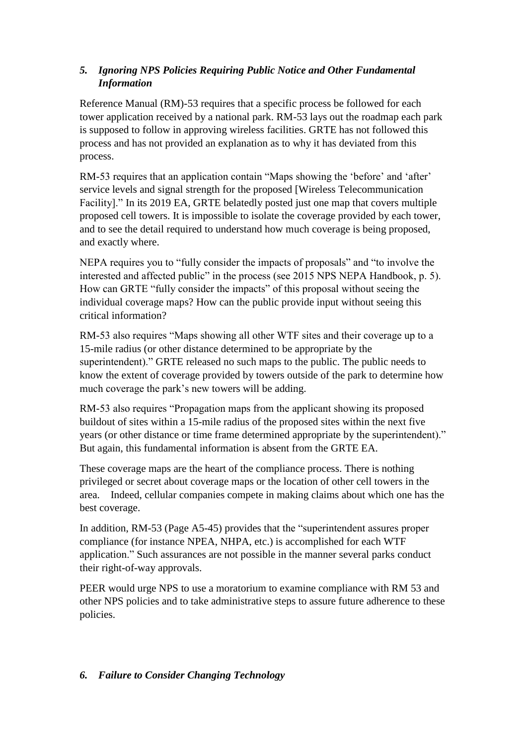# *5. Ignoring NPS Policies Requiring Public Notice and Other Fundamental Information*

Reference Manual (RM)-53 requires that a specific process be followed for each tower application received by a national park. RM-53 lays out the roadmap each park is supposed to follow in approving wireless facilities. GRTE has not followed this process and has not provided an explanation as to why it has deviated from this process.

RM-53 requires that an application contain "Maps showing the 'before' and 'after' service levels and signal strength for the proposed [Wireless Telecommunication Facility]." In its 2019 EA, GRTE belatedly posted just one map that covers multiple proposed cell towers. It is impossible to isolate the coverage provided by each tower, and to see the detail required to understand how much coverage is being proposed, and exactly where.

NEPA requires you to "fully consider the impacts of proposals" and "to involve the interested and affected public" in the process (see 2015 NPS NEPA Handbook, p. 5). How can GRTE "fully consider the impacts" of this proposal without seeing the individual coverage maps? How can the public provide input without seeing this critical information?

RM-53 also requires "Maps showing all other WTF sites and their coverage up to a 15-mile radius (or other distance determined to be appropriate by the superintendent)." GRTE released no such maps to the public. The public needs to know the extent of coverage provided by towers outside of the park to determine how much coverage the park's new towers will be adding.

RM-53 also requires "Propagation maps from the applicant showing its proposed buildout of sites within a 15-mile radius of the proposed sites within the next five years (or other distance or time frame determined appropriate by the superintendent)." But again, this fundamental information is absent from the GRTE EA.

These coverage maps are the heart of the compliance process. There is nothing privileged or secret about coverage maps or the location of other cell towers in the area. Indeed, cellular companies compete in making claims about which one has the best coverage.

In addition, RM-53 (Page A5-45) provides that the "superintendent assures proper compliance (for instance NPEA, NHPA, etc.) is accomplished for each WTF application." Such assurances are not possible in the manner several parks conduct their right-of-way approvals.

PEER would urge NPS to use a moratorium to examine compliance with RM 53 and other NPS policies and to take administrative steps to assure future adherence to these policies.

# *6. Failure to Consider Changing Technology*